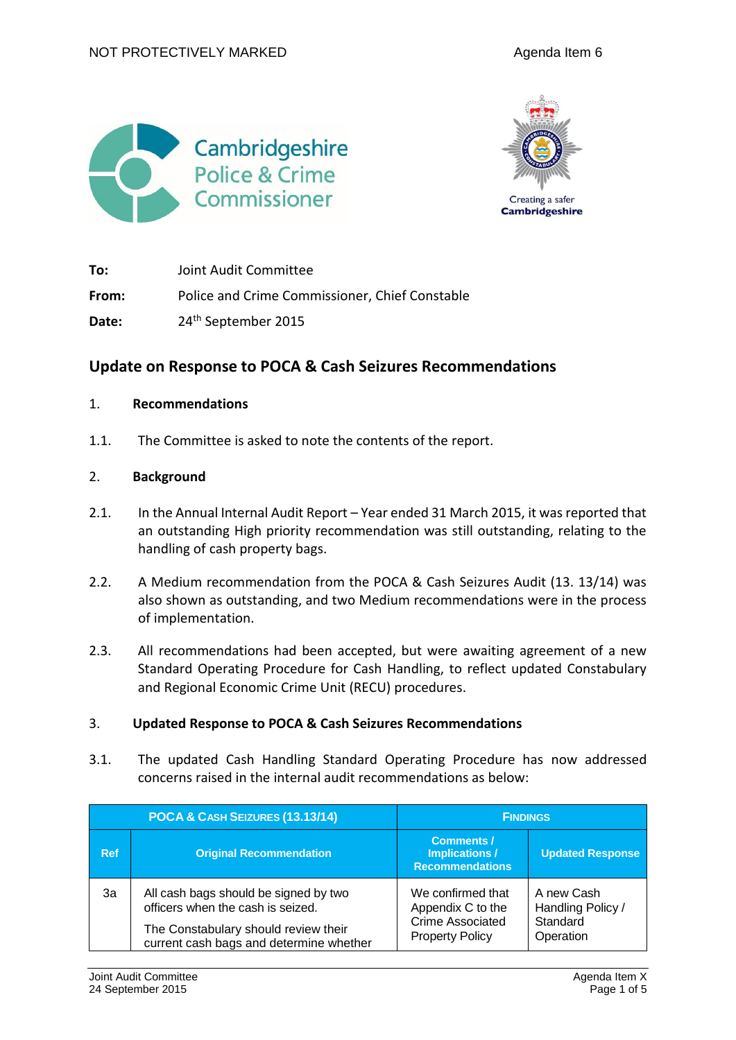



**To:** Joint Audit Committee **From:** Police and Crime Commissioner, Chief Constable Date: 24<sup>th</sup> September 2015

# **Update on Response to POCA & Cash Seizures Recommendations**

#### 1. **Recommendations**

1.1. The Committee is asked to note the contents of the report.

#### 2. **Background**

- 2.1. In the Annual Internal Audit Report Year ended 31 March 2015, it was reported that an outstanding High priority recommendation was still outstanding, relating to the handling of cash property bags.
- 2.2. A Medium recommendation from the POCA & Cash Seizures Audit (13. 13/14) was also shown as outstanding, and two Medium recommendations were in the process of implementation.
- 2.3. All recommendations had been accepted, but were awaiting agreement of a new Standard Operating Procedure for Cash Handling, to reflect updated Constabulary and Regional Economic Crime Unit (RECU) procedures.

### 3. **Updated Response to POCA & Cash Seizures Recommendations**

3.1. The updated Cash Handling Standard Operating Procedure has now addressed concerns raised in the internal audit recommendations as below:

| POCA & CASH SEIZURES (13.13/14) |                                                                                                                                                               | <b>FINDINGS</b>                                                                             |                                                          |
|---------------------------------|---------------------------------------------------------------------------------------------------------------------------------------------------------------|---------------------------------------------------------------------------------------------|----------------------------------------------------------|
| <b>Ref</b>                      | <b>Original Recommendation</b>                                                                                                                                | <b>Comments /</b><br><b>Implications /</b><br><b>Recommendations</b>                        | <b>Updated Response</b>                                  |
| 3a                              | All cash bags should be signed by two<br>officers when the cash is seized.<br>The Constabulary should review their<br>current cash bags and determine whether | We confirmed that<br>Appendix C to the<br><b>Crime Associated</b><br><b>Property Policy</b> | A new Cash<br>Handling Policy /<br>Standard<br>Operation |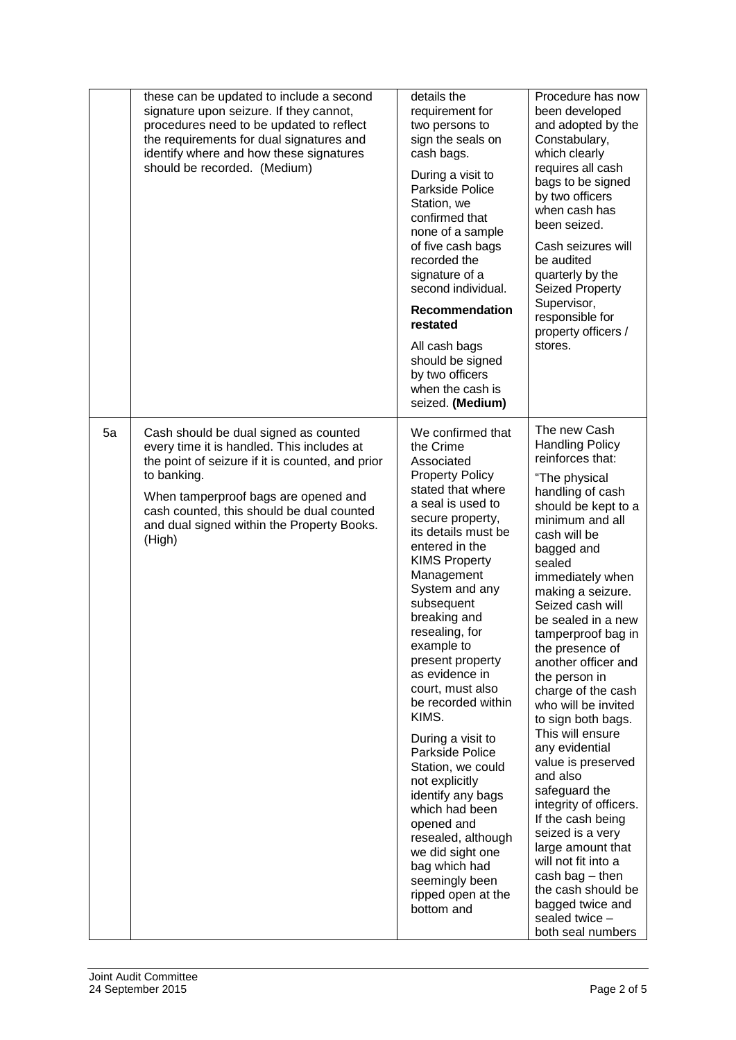|    | these can be updated to include a second<br>signature upon seizure. If they cannot,<br>procedures need to be updated to reflect<br>the requirements for dual signatures and<br>identify where and how these signatures<br>should be recorded. (Medium)                                              | details the<br>requirement for<br>two persons to<br>sign the seals on<br>cash bags.<br>During a visit to<br>Parkside Police<br>Station, we<br>confirmed that<br>none of a sample<br>of five cash bags<br>recorded the<br>signature of a<br>second individual.<br>Recommendation<br>restated<br>All cash bags<br>should be signed<br>by two officers<br>when the cash is<br>seized. (Medium)                                                                                                                                                                                                                                                       | Procedure has now<br>been developed<br>and adopted by the<br>Constabulary,<br>which clearly<br>requires all cash<br>bags to be signed<br>by two officers<br>when cash has<br>been seized.<br>Cash seizures will<br>be audited<br>quarterly by the<br>Seized Property<br>Supervisor,<br>responsible for<br>property officers /<br>stores.                                                                                                                                                                                                                                                                                                                                                                                             |
|----|-----------------------------------------------------------------------------------------------------------------------------------------------------------------------------------------------------------------------------------------------------------------------------------------------------|---------------------------------------------------------------------------------------------------------------------------------------------------------------------------------------------------------------------------------------------------------------------------------------------------------------------------------------------------------------------------------------------------------------------------------------------------------------------------------------------------------------------------------------------------------------------------------------------------------------------------------------------------|--------------------------------------------------------------------------------------------------------------------------------------------------------------------------------------------------------------------------------------------------------------------------------------------------------------------------------------------------------------------------------------------------------------------------------------------------------------------------------------------------------------------------------------------------------------------------------------------------------------------------------------------------------------------------------------------------------------------------------------|
| 5a | Cash should be dual signed as counted<br>every time it is handled. This includes at<br>the point of seizure if it is counted, and prior<br>to banking.<br>When tamperproof bags are opened and<br>cash counted, this should be dual counted<br>and dual signed within the Property Books.<br>(High) | We confirmed that<br>the Crime<br>Associated<br><b>Property Policy</b><br>stated that where<br>a seal is used to<br>secure property,<br>its details must be<br>entered in the<br><b>KIMS Property</b><br>Management<br>System and any<br>subsequent<br>breaking and<br>resealing, for<br>example to<br>present property<br>as evidence in<br>court, must also<br>be recorded within<br>KIMS.<br>During a visit to<br>Parkside Police<br>Station, we could<br>not explicitly<br>identify any bags<br>which had been<br>opened and<br>resealed, although<br>we did sight one<br>bag which had<br>seemingly been<br>ripped open at the<br>bottom and | The new Cash<br><b>Handling Policy</b><br>reinforces that:<br>"The physical<br>handling of cash<br>should be kept to a<br>minimum and all<br>cash will be<br>bagged and<br>sealed<br>immediately when<br>making a seizure.<br>Seized cash will<br>be sealed in a new<br>tamperproof bag in<br>the presence of<br>another officer and<br>the person in<br>charge of the cash<br>who will be invited<br>to sign both bags.<br>This will ensure<br>any evidential<br>value is preserved<br>and also<br>safeguard the<br>integrity of officers.<br>If the cash being<br>seized is a very<br>large amount that<br>will not fit into a<br>cash bag - then<br>the cash should be<br>bagged twice and<br>sealed twice -<br>both seal numbers |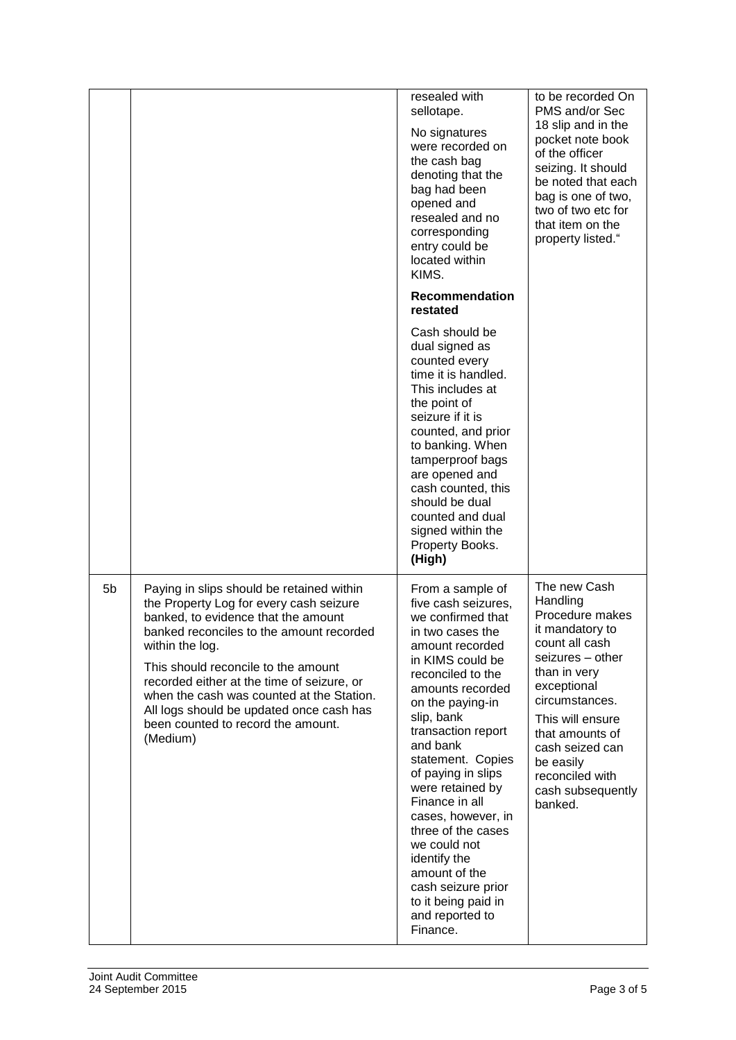|    |                                                                                                                                                                                                                                                                                                                                                                                                                            | resealed with<br>sellotape.<br>No signatures<br>were recorded on<br>the cash bag<br>denoting that the<br>bag had been<br>opened and<br>resealed and no<br>corresponding<br>entry could be<br>located within<br>KIMS.                                                                                                                                                                                                                                                                           | to be recorded On<br>PMS and/or Sec<br>18 slip and in the<br>pocket note book<br>of the officer<br>seizing. It should<br>be noted that each<br>bag is one of two,<br>two of two etc for<br>that item on the<br>property listed."                                                |
|----|----------------------------------------------------------------------------------------------------------------------------------------------------------------------------------------------------------------------------------------------------------------------------------------------------------------------------------------------------------------------------------------------------------------------------|------------------------------------------------------------------------------------------------------------------------------------------------------------------------------------------------------------------------------------------------------------------------------------------------------------------------------------------------------------------------------------------------------------------------------------------------------------------------------------------------|---------------------------------------------------------------------------------------------------------------------------------------------------------------------------------------------------------------------------------------------------------------------------------|
|    |                                                                                                                                                                                                                                                                                                                                                                                                                            | Recommendation<br>restated                                                                                                                                                                                                                                                                                                                                                                                                                                                                     |                                                                                                                                                                                                                                                                                 |
|    |                                                                                                                                                                                                                                                                                                                                                                                                                            | Cash should be<br>dual signed as<br>counted every<br>time it is handled.<br>This includes at<br>the point of<br>seizure if it is<br>counted, and prior<br>to banking. When<br>tamperproof bags<br>are opened and<br>cash counted, this<br>should be dual<br>counted and dual<br>signed within the<br>Property Books.<br>(High)                                                                                                                                                                 |                                                                                                                                                                                                                                                                                 |
| 5b | Paying in slips should be retained within<br>the Property Log for every cash seizure<br>banked, to evidence that the amount<br>banked reconciles to the amount recorded<br>within the log.<br>This should reconcile to the amount<br>recorded either at the time of seizure, or<br>when the cash was counted at the Station.<br>All logs should be updated once cash has<br>been counted to record the amount.<br>(Medium) | From a sample of<br>five cash seizures,<br>we confirmed that<br>in two cases the<br>amount recorded<br>in KIMS could be<br>reconciled to the<br>amounts recorded<br>on the paying-in<br>slip, bank<br>transaction report<br>and bank<br>statement. Copies<br>of paying in slips<br>were retained by<br>Finance in all<br>cases, however, in<br>three of the cases<br>we could not<br>identify the<br>amount of the<br>cash seizure prior<br>to it being paid in<br>and reported to<br>Finance. | The new Cash<br>Handling<br>Procedure makes<br>it mandatory to<br>count all cash<br>seizures - other<br>than in very<br>exceptional<br>circumstances.<br>This will ensure<br>that amounts of<br>cash seized can<br>be easily<br>reconciled with<br>cash subsequently<br>banked. |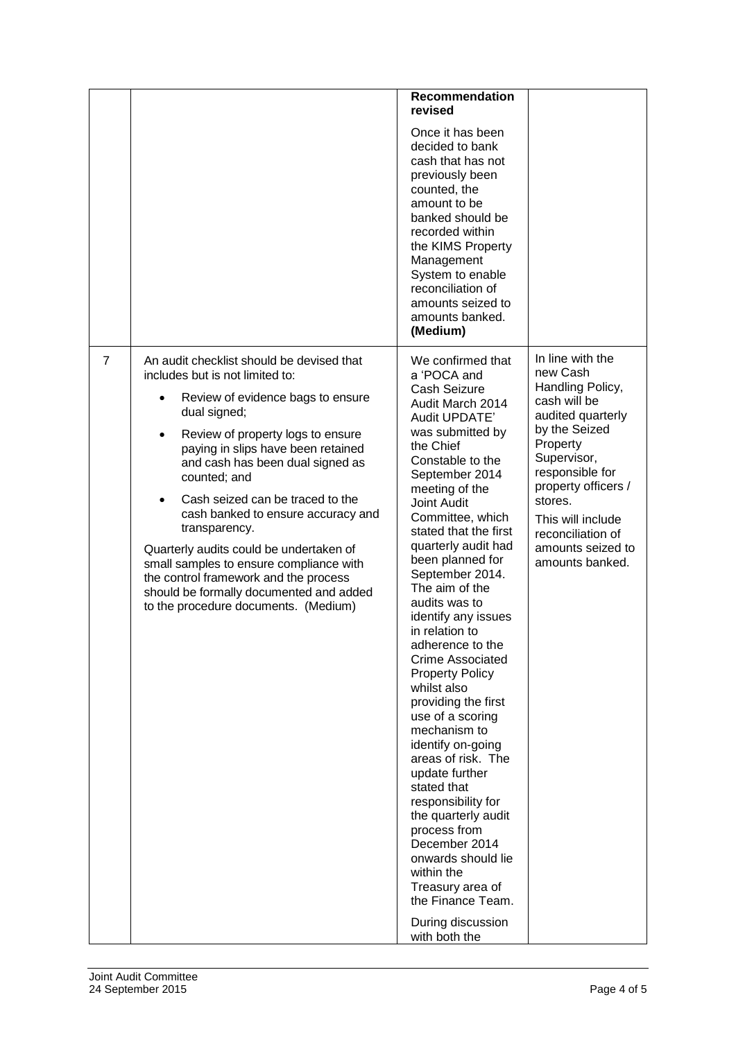|   |                                                                                                                                                                                                                                                                                                                                                                                                                                                                                                                                                                               | <b>Recommendation</b><br>revised                                                                                                                                                                                                                                                                                                                                                                                                                                                                                                                                                                                                                                                                                                                                                                                     |                                                                                                                                                                                                                                                                          |
|---|-------------------------------------------------------------------------------------------------------------------------------------------------------------------------------------------------------------------------------------------------------------------------------------------------------------------------------------------------------------------------------------------------------------------------------------------------------------------------------------------------------------------------------------------------------------------------------|----------------------------------------------------------------------------------------------------------------------------------------------------------------------------------------------------------------------------------------------------------------------------------------------------------------------------------------------------------------------------------------------------------------------------------------------------------------------------------------------------------------------------------------------------------------------------------------------------------------------------------------------------------------------------------------------------------------------------------------------------------------------------------------------------------------------|--------------------------------------------------------------------------------------------------------------------------------------------------------------------------------------------------------------------------------------------------------------------------|
|   |                                                                                                                                                                                                                                                                                                                                                                                                                                                                                                                                                                               | Once it has been<br>decided to bank<br>cash that has not<br>previously been<br>counted, the<br>amount to be<br>banked should be<br>recorded within<br>the KIMS Property<br>Management<br>System to enable<br>reconciliation of<br>amounts seized to<br>amounts banked.<br>(Medium)                                                                                                                                                                                                                                                                                                                                                                                                                                                                                                                                   |                                                                                                                                                                                                                                                                          |
| 7 | An audit checklist should be devised that<br>includes but is not limited to:<br>Review of evidence bags to ensure<br>dual signed;<br>Review of property logs to ensure<br>paying in slips have been retained<br>and cash has been dual signed as<br>counted; and<br>Cash seized can be traced to the<br>cash banked to ensure accuracy and<br>transparency.<br>Quarterly audits could be undertaken of<br>small samples to ensure compliance with<br>the control framework and the process<br>should be formally documented and added<br>to the procedure documents. (Medium) | We confirmed that<br>a 'POCA and<br>Cash Seizure<br>Audit March 2014<br>Audit UPDATE'<br>was submitted by<br>the Chief<br>Constable to the<br>September 2014<br>meeting of the<br>Joint Audit<br>Committee, which<br>stated that the first<br>quarterly audit had<br>been planned for<br>September 2014.<br>The aim of the<br>audits was to<br>identify any issues<br>in relation to<br>adherence to the<br><b>Crime Associated</b><br><b>Property Policy</b><br>whilst also<br>providing the first<br>use of a scoring<br>mechanism to<br>identify on-going<br>areas of risk. The<br>update further<br>stated that<br>responsibility for<br>the quarterly audit<br>process from<br>December 2014<br>onwards should lie<br>within the<br>Treasury area of<br>the Finance Team.<br>During discussion<br>with both the | In line with the<br>new Cash<br>Handling Policy,<br>cash will be<br>audited quarterly<br>by the Seized<br>Property<br>Supervisor,<br>responsible for<br>property officers /<br>stores.<br>This will include<br>reconciliation of<br>amounts seized to<br>amounts banked. |